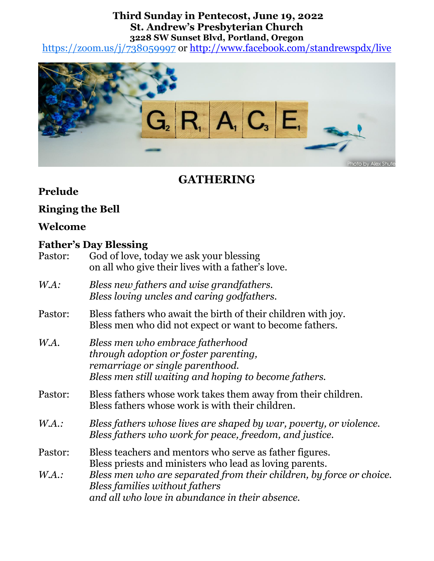### **Third Sunday in Pentecost, June 19, 2022 St. Andrew's Presbyterian Church 3228 SW Sunset Blvd, Portland, Oregon**

<https://zoom.us/j/738059997> or<http://www.facebook.com/standrewspdx/live>



# **GATHERING**

### **Prelude**

### **Ringing the Bell**

## **Welcome**

### **Father's Day Blessing**

| Pastor: | God of love, today we ask your blessing<br>on all who give their lives with a father's love.                             |  |
|---------|--------------------------------------------------------------------------------------------------------------------------|--|
| WA:     | Bless new fathers and wise grandfathers.<br>Bless loving uncles and caring godfathers.                                   |  |
| Pastor: | Bless fathers who await the birth of their children with joy.<br>Bless men who did not expect or want to become fathers. |  |
| W.A.    | Bless men who embrace fatherhood<br>through adoption or foster parenting,<br>remarriage or single parenthood.            |  |

- *Bless men still waiting and hoping to become fathers.*
- Pastor: Bless fathers whose work takes them away from their children. Bless fathers whose work is with their children.
- *W.A.: Bless fathers whose lives are shaped by war, poverty, or violence. Bless fathers who work for peace, freedom, and justice.*
- Pastor: Bless teachers and mentors who serve as father figures. Bless priests and ministers who lead as loving parents.
- *W.A.: Bless men who are separated from their children, by force or choice. Bless families without fathers and all who love in abundance in their absence.*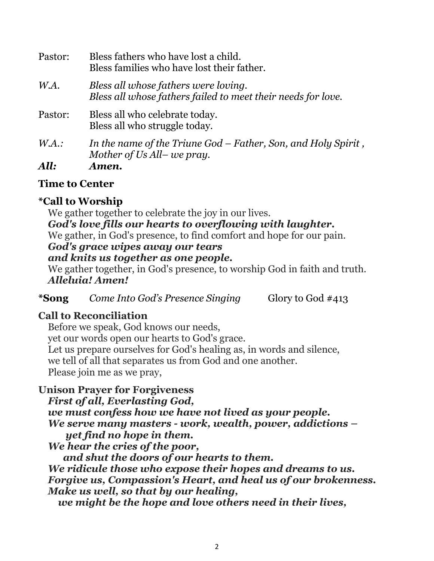| Pastor: | Bless fathers who have lost a child.<br>Bless families who have lost their father.                   |
|---------|------------------------------------------------------------------------------------------------------|
| WA.     | Bless all whose fathers were loving.<br>Bless all whose fathers failed to meet their needs for love. |
| Pastor: | Bless all who celebrate today.<br>Bless all who struggle today.                                      |
| $WA$ .: | In the name of the Triune God – Father, Son, and Holy Spirit,<br>Mother of Us All-we pray.           |
| All:    | Amen.                                                                                                |

## **Time to Center**

## **\*Call to Worship**

We gather together to celebrate the joy in our lives.

### *God's love fills our hearts to overflowing with laughter.*

We gather, in God's presence, to find comfort and hope for our pain.

### *God's grace wipes away our tears*

#### *and knits us together as one people.*

We gather together, in God's presence, to worship God in faith and truth. *Alleluia! Amen!*

**\*Song** *Come Into God's Presence Singing* Glory to God #413

### **Call to Reconciliation**

Before we speak, God knows our needs, yet our words open our hearts to God's grace. Let us prepare ourselves for God's healing as, in words and silence, we tell of all that separates us from God and one another. Please join me as we pray,

## **Unison Prayer for Forgiveness**

*First of all, Everlasting God, we must confess how we have not lived as your people. We serve many masters - work, wealth, power, addictions – yet find no hope in them. We hear the cries of the poor, and shut the doors of our hearts to them. We ridicule those who expose their hopes and dreams to us. Forgive us, Compassion's Heart, and heal us of our brokenness. Make us well, so that by our healing,* 

 *we might be the hope and love others need in their lives,*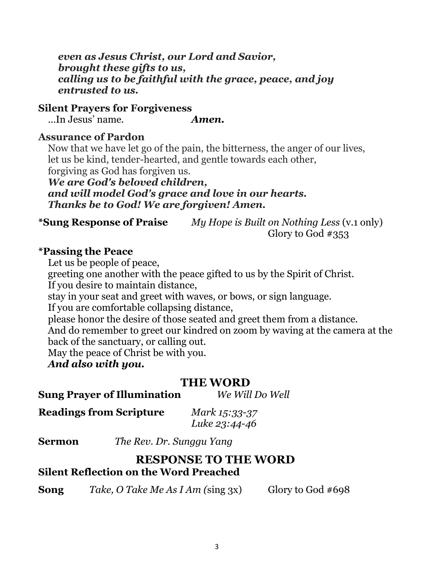*even as Jesus Christ, our Lord and Savior, brought these gifts to us, calling us to be faithful with the grace, peace, and joy entrusted to us.*

#### **Silent Prayers for Forgiveness**

…In Jesus' name. *Amen.*

#### **Assurance of Pardon**

Now that we have let go of the pain, the bitterness, the anger of our lives, let us be kind, tender-hearted, and gentle towards each other, forgiving as God has forgiven us.

*We are God's beloved children, and will model God's grace and love in our hearts. Thanks be to God! We are forgiven! Amen.*

**\*Sung Response of Praise** *My Hope is Built on Nothing Less* (v.1 only) Glory to God #353

#### **\*Passing the Peace**

Let us be people of peace,

greeting one another with the peace gifted to us by the Spirit of Christ.

If you desire to maintain distance,

stay in your seat and greet with waves, or bows, or sign language.

If you are comfortable collapsing distance,

please honor the desire of those seated and greet them from a distance.

And do remember to greet our kindred on zoom by waving at the camera at the back of the sanctuary, or calling out.

May the peace of Christ be with you.

*And also with you.*

### **THE WORD**

**Sung Prayer of Illumination** *We Will Do Well*

| <b>Readings from Scripture</b> | Mark 15:33-37 |
|--------------------------------|---------------|
|                                | Luke 23:44-46 |

**Sermon** *The Rev. Dr. Sunggu Yang*

### **RESPONSE TO THE WORD Silent Reflection on the Word Preached**

**Song** *Take, O Take Me As I Am* (sing 3x) Glory to God #698